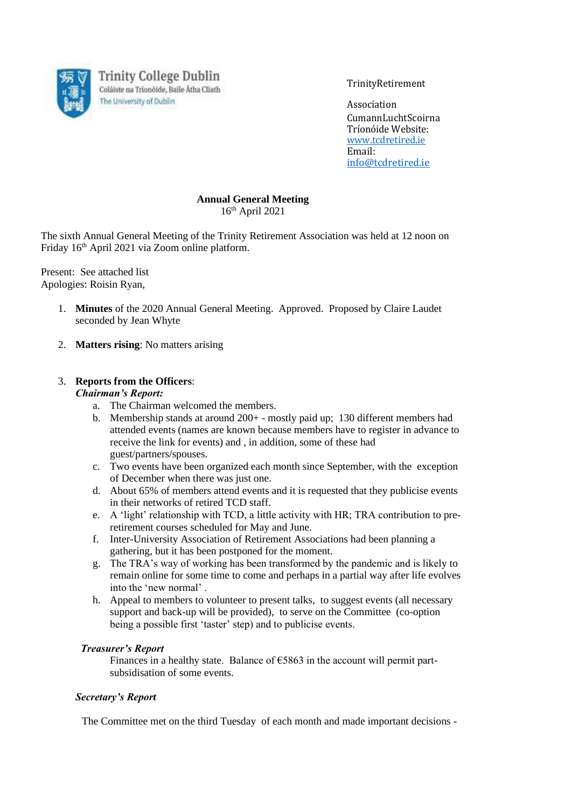

**Trinity College Dublin** Coláiste na Tríonóide, Baile Átha Cliath The University of Dublin

TrinityRetirement

Association CumannLuchtScoirna Tríonóide Website: [www.tcdretired.ie](http://www.tcdretired.ie/) Email: [info@tcdretired.ie](mailto:info@tcdretired.ie)

# **Annual General Meeting**

16th April 2021

The sixth Annual General Meeting of the Trinity Retirement Association was held at 12 noon on Friday 16th April 2021 via Zoom online platform.

Present: See attached list Apologies: Roisin Ryan,

- 1. **Minutes** of the 2020 Annual General Meeting. Approved. Proposed by Claire Laudet seconded by Jean Whyte
- 2. **Matters rising**: No matters arising

### 3. **Reports from the Officers**:

#### *Chairman's Report:*

- a. The Chairman welcomed the members.
- b. Membership stands at around 200+ mostly paid up; 130 different members had attended events (names are known because members have to register in advance to receive the link for events) and , in addition, some of these had guest/partners/spouses.
- c. Two events have been organized each month since September, with the exception of December when there was just one.
- d. About 65% of members attend events and it is requested that they publicise events in their networks of retired TCD staff.
- e. A 'light' relationship with TCD, a little activity with HR; TRA contribution to preretirement courses scheduled for May and June.
- f. Inter-University Association of Retirement Associations had been planning a gathering, but it has been postponed for the moment.
- g. The TRA's way of working has been transformed by the pandemic and is likely to remain online for some time to come and perhaps in a partial way after life evolves into the 'new normal' .
- h. Appeal to members to volunteer to present talks, to suggest events (all necessary support and back-up will be provided), to serve on the Committee (co-option being a possible first 'taster' step) and to publicise events.

#### *Treasurer's Report*

Finances in a healthy state. Balance of  $\epsilon$ 5863 in the account will permit partsubsidisation of some events.

#### *Secretary's Report*

The Committee met on the third Tuesday of each month and made important decisions -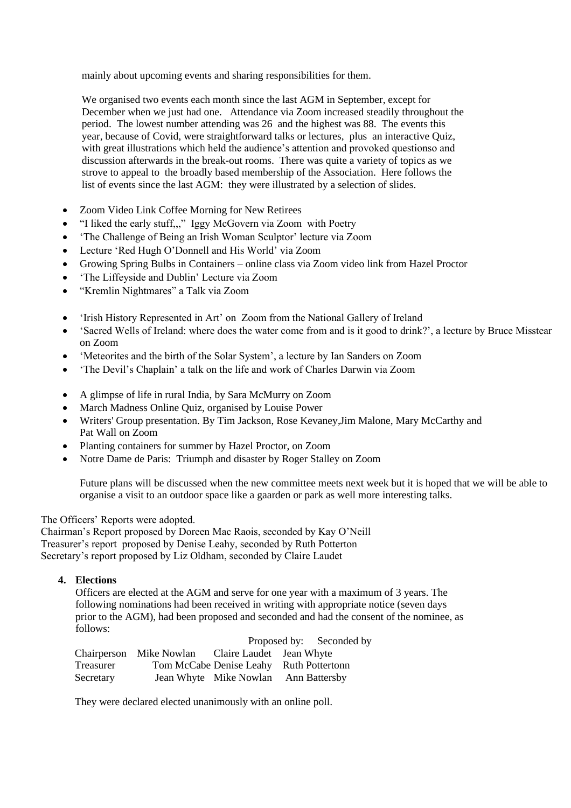mainly about upcoming events and sharing responsibilities for them.

We organised two events each month since the last AGM in September, except for December when we just had one. Attendance via Zoom increased steadily throughout the period. The lowest number attending was 26 and the highest was 88. The events this year, because of Covid, were straightforward talks or lectures, plus an interactive Quiz, with great illustrations which held the audience's attention and provoked questionso and discussion afterwards in the break-out rooms. There was quite a variety of topics as we strove to appeal to the broadly based membership of the Association. Here follows the list of events since the last AGM: they were illustrated by a selection of slides.

- Zoom Video Link Coffee Morning for New Retirees
- "I liked the early stuff,,," Iggy McGovern via Zoom with Poetry
- 'The Challenge of Being an Irish Woman Sculptor' lecture via Zoom
- Lecture 'Red Hugh O'Donnell and His World' via Zoom
- Growing Spring Bulbs in Containers online class via Zoom video link from Hazel Proctor
- 'The Liffeyside and Dublin' Lecture via Zoom
- "Kremlin Nightmares" a Talk via Zoom
- 'Irish History Represented in Art' on Zoom from the National Gallery of Ireland
- 'Sacred Wells of Ireland: where does the water come from and is it good to drink?', a lecture by Bruce Misstear on Zoom
- 'Meteorites and the birth of the Solar System', a lecture by Ian Sanders on Zoom
- 'The Devil's Chaplain' a talk on the life and work of Charles Darwin via Zoom
- A glimpse of life in rural India, by Sara McMurry on Zoom
- March Madness Online Quiz, organised by Louise Power
- Writers' Group presentation. By Tim Jackson, Rose Kevaney, Jim Malone, Mary McCarthy and Pat Wall on Zoom
- Planting containers for summer by Hazel Proctor, on Zoom
- Notre Dame de Paris: Triumph and disaster by Roger Stalley on Zoom

Future plans will be discussed when the new committee meets next week but it is hoped that we will be able to organise a visit to an outdoor space like a gaarden or park as well more interesting talks.

## The Officers' Reports were adopted.

Chairman's Report proposed by Doreen Mac Raois, seconded by Kay O'Neill Treasurer's report proposed by Denise Leahy, seconded by Ruth Potterton Secretary's report proposed by Liz Oldham, seconded by Claire Laudet

## **4. Elections**

Officers are elected at the AGM and serve for one year with a maximum of 3 years. The following nominations had been received in writing with appropriate notice (seven days prior to the AGM), had been proposed and seconded and had the consent of the nominee, as follows:

|           |                         |                                         | Proposed by: Seconded by |
|-----------|-------------------------|-----------------------------------------|--------------------------|
|           | Chairperson Mike Nowlan | Claire Laudet Jean Whyte                |                          |
| Treasurer |                         | Tom McCabe Denise Leahy Ruth Pottertonn |                          |
| Secretary |                         | Jean Whyte Mike Nowlan Ann Battersby    |                          |

They were declared elected unanimously with an online poll.